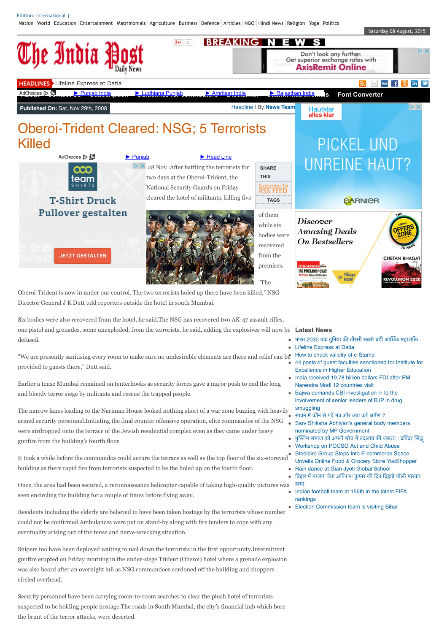[Nation](http://www.theindiapost.com/category/nation/) [World](http://www.theindiapost.com/category/world/) [Education](http://www.theindiapost.com/category/education/) [Entertainment](http://www.theindiapost.com/category/entertainment/) [Matrimonials](http://www.theindiapost.com/category/matrimonials/) [Agriculture](http://www.theindiapost.com/category/agriculture/) [Business](http://www.theindiapost.com/category/business/) [Defence](http://www.theindiapost.com/category/defence/) [Articles](http://www.theindiapost.com/category/articles/) [NGO](http://www.theindiapost.com/category/ngo/) [Hindi News](http://www.theindiapost.com/category/hindi-news/) [Religion](http://www.theindiapost.com/category/religion/) [Yoga](http://www.theindiapost.com/category/sports/yoga/) [Politics](http://www.theindiapost.com/category/poltics/)

Edition: International I



Director General J K Dutt told reporters outside the hotel in south Mumbai.

Six bodies were also recovered from the hotel, he said.The NSG has recovered two AK-47 assault rifles, one pistol and grenades, some unexploded, from the terrorists, he said, adding the explosives will now be **Latest News** defused.

"We are presently sanitising every room to make sure no undesirable elements are there and relief can be  $\bullet$  [How to check validity of e-Stamp](http://www.theindiapost.com/business/how-to-check-validity-of-e-stamp/) provided to guests there," Dutt said.

Earlier a tense Mumbai remained on tenterhooks as security forces gave a major push to end the long and bloody terror siege by militants and rescue the trapped people.

The narrow lanes leading to the Nariman House looked nothing short of a war zone buzzing with heavily armed security personnel.Initiating the final counter offensive operation, elite commandos of the NSG were airdropped onto the terrace of the Jewish residential complex even as they came under heavy gunfire from the building's fourth floor.

It took a while before the commandos could secure the terrace as well as the top floor of the six-storeyed building as there rapid fire from terrorists suspected to be the holed up on the fourth floor.

Once, the area had been secured, a reconnaissance helicopter capable of taking high-quality pictures was seen encircling the building for a couple of times before flying away.

Residents including the elderly are believed to have been taken hostage by the terrorists whose number could not be confirmed.Ambulances were put on stand-by along with fire tenders to cope with any eventuality arising out of the tense and nerve-wrecking situation.

Snipers too have been deployed waiting to nail down the terrorists in the first opportunity.Intermittent gunfire erupted on Friday morning in the under-siege Trident (Oberoi) hotel where a grenade explosion was also heard after an overnight lull as NSG commandoes cordoned off the building and choppers circled overhead.

Security personnel have been carrying room-to-room searches to clear the plush hotel of terrorists suspected to be holding people hostage.The roads in South Mumbai, the city's financial hub which bore the brunt of the terror attacks, were deserted.

- भारत 2030 तक दुनिया की तीसरी सबसे बड़ी आर्थिक महाशक्ति
- [Lifeline Express at Datia](http://www.theindiapost.com/nation/madhya-pardesh/lifeline-express-at-datia/)
- 
- [44 posts of guest faculties sanctioned for Institute for](http://www.theindiapost.com/education/44-posts-of-guest-faculties-sanctioned-for-institute-for-excellence-in-higher-education/) Excellence in Higher Education
- [India received 19.78 billion dollars FDI after PM](http://www.theindiapost.com/headline/india-received-19-78-billion-dollars-fdi-after-pm-narendra-modi-12-countries-visit/) Narendra Modi 12 countries visit
- Bajwa demands CBI investigation in to the [involvement of senior leaders of BJP in drug](http://www.theindiapost.com/nation/punjab/bajwa-demands-cbi-investigation-in-to-the-involvement-of-senior-leaders-of-bjp-in-drug-smuggling/) smuggling
- सावन में कौन से पढ़ें मंत्र और क्या करें अर्पण ?
- [Sarv Shiksha Abhiyan's general body members](http://www.theindiapost.com/education/sarv-shiksha-abhiyans-general-body-members-nominated-by-mp-government/) nominated by MP Government
- मुस्लिम समाज को अपनी सोच में बदलाव की जरूरत : दविंदर सिद्ध
- [Workshop on POCSO Act and Child Abuse](http://www.theindiapost.com/education/workshop-on-pocso-act-and-child-abuse/)
- Steelbird Group Steps Into E-commerce Space, [Unveils Online Food & Grocery Store YooShopper](http://www.theindiapost.com/business/steelbird-group-steps-into-e-commerce-space-unveils-online-food-grocery-store-yooshopper/)
- [Rain dance at Gian Jyoti Global School](http://www.theindiapost.com/education/rain-dance-at-gian-jyoti-global-school/)
- बिहार में भाजपा नेता अविनाश कुमार की दिन दिहाड़े गोली मारकर हता
- [Indian football team at 156th in the latest FIFA](http://www.theindiapost.com/sports/indian-football-team-at-156th-in-the-latest-fifa-rankings/) rankings
- [Election Commission team is visiting Bihar](http://www.theindiapost.com/nation/bihar/election-commission-team-is-visiting-bihar/)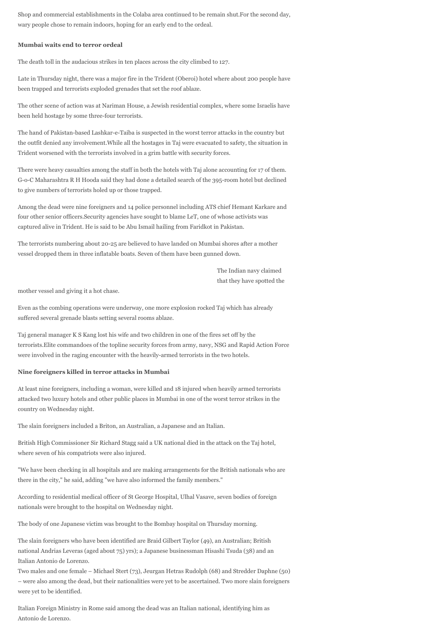Shop and commercial establishments in the Colaba area continued to be remain shut.For the second day, wary people chose to remain indoors, hoping for an early end to the ordeal.

## **Mumbai waits end to terror ordeal**

The death toll in the audacious strikes in ten places across the city climbed to 127.

Late in Thursday night, there was a major fire in the Trident (Oberoi) hotel where about 200 people have been trapped and terrorists exploded grenades that set the roof ablaze.

The other scene of action was at Nariman House, a Jewish residential complex, where some Israelis have been held hostage by some three-four terrorists.

The hand of Pakistan-based Lashkar-e-Taiba is suspected in the worst terror attacks in the country but the outfit denied any involvement.While all the hostages in Taj were evacuated to safety, the situation in Trident worsened with the terrorists involved in a grim battle with security forces.

There were heavy casualties among the staff in both the hotels with Taj alone accounting for 17 of them. G-o-C Maharashtra R H Hooda said they had done a detailed search of the 395-room hotel but declined to give numbers of terrorists holed up or those trapped.

Among the dead were nine foreigners and 14 police personnel including ATS chief Hemant Karkare and four other senior officers.Security agencies have sought to blame LeT, one of whose activists was captured alive in Trident. He is said to be Abu Ismail hailing from Faridkot in Pakistan.

The terrorists numbering about 20-25 are believed to have landed on Mumbai shores after a mother vessel dropped them in three inflatable boats. Seven of them have been gunned down.

> The Indian navy claimed that they have spotted the

mother vessel and giving it a hot chase.

Even as the combing operations were underway, one more explosion rocked Taj which has already suffered several grenade blasts setting several rooms ablaze.

Taj general manager K S Kang lost his wife and two children in one of the fires set off by the terrorists.Elite commandoes of the topline security forces from army, navy, NSG and Rapid Action Force were involved in the raging encounter with the heavily-armed terrorists in the two hotels.

### **Nine foreigners killed in terror attacks in Mumbai**

At least nine foreigners, including a woman, were killed and 18 injured when heavily armed terrorists attacked two luxury hotels and other public places in Mumbai in one of the worst terror strikes in the country on Wednesday night.

The slain foreigners included a Briton, an Australian, a Japanese and an Italian.

British High Commissioner Sir Richard Stagg said a UK national died in the attack on the Taj hotel, where seven of his compatriots were also injured.

"We have been checking in all hospitals and are making arrangements for the British nationals who are there in the city," he said, adding "we have also informed the family members."

According to residential medical officer of St George Hospital, Ulhal Vasave, seven bodies of foreign nationals were brought to the hospital on Wednesday night.

The body of one Japanese victim was brought to the Bombay hospital on Thursday morning.

The slain foreigners who have been identified are Braid Gilbert Taylor (49), an Australian; British national Andrias Leveras (aged about 75) yrs); a Japanese businessman Hisashi Tsuda (38) and an Italian Antonio de Lorenzo.

Two males and one female – Michael Stert (73), Jeurgan Hetras Rudolph (68) and Stredder Daphne (50) – were also among the dead, but their nationalities were yet to be ascertained. Two more slain foreigners were yet to be identified.

Italian Foreign Ministry in Rome said among the dead was an Italian national, identifying him as Antonio de Lorenzo.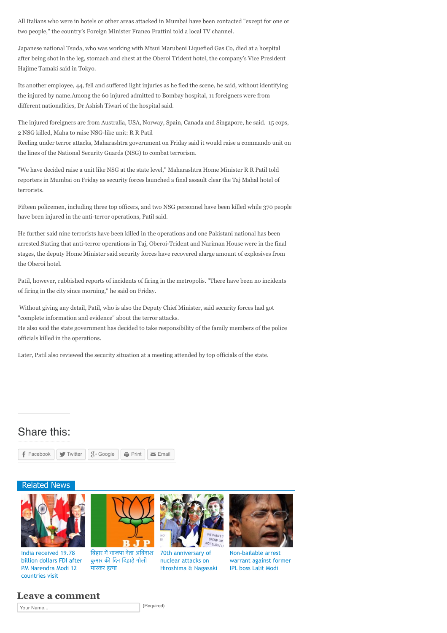All Italians who were in hotels or other areas attacked in Mumbai have been contacted "except for one or two people," the country's Foreign Minister Franco Frattini told a local TV channel.

Japanese national Tsuda, who was working with Mtsui Marubeni Liquefied Gas Co, died at a hospital after being shot in the leg, stomach and chest at the Oberoi Trident hotel, the company's Vice President Hajime Tamaki said in Tokyo.

Its another employee, 44, fell and suffered light injuries as he fled the scene, he said, without identifying the injured by name.Among the 60 injured admitted to Bombay hospital, 11 foreigners were from different nationalities, Dr Ashish Tiwari of the hospital said.

The injured foreigners are from Australia, USA, Norway, Spain, Canada and Singapore, he said. 15 cops, 2 NSG killed, Maha to raise NSG-like unit: R R Patil

Reeling under terror attacks, Maharashtra government on Friday said it would raise a commando unit on the lines of the National Security Guards (NSG) to combat terrorism.

"We have decided raise a unit like NSG at the state level," Maharashtra Home Minister R R Patil told reporters in Mumbai on Friday as security forces launched a final assault clear the Taj Mahal hotel of terrorists.

Fifteen policemen, including three top officers, and two NSG personnel have been killed while 370 people have been injured in the anti-terror operations, Patil said.

He further said nine terrorists have been killed in the operations and one Pakistani national has been arrested.Stating that anti-terror operations in Taj, Oberoi-Trident and Nariman House were in the final stages, the deputy Home Minister said security forces have recovered alarge amount of explosives from the Oberoi hotel.

Patil, however, rubbished reports of incidents of firing in the metropolis. "There have been no incidents of firing in the city since morning," he said on Friday.

 Without giving any detail, Patil, who is also the Deputy Chief Minister, said security forces had got "complete information and evidence" about the terror attacks.

He also said the state government has decided to take responsibility of the family members of the police officials killed in the operations.

Later, Patil also reviewed the security situation at a meeting attended by top officials of the state.

# Share this:



मारकर हता

# Related News



[billion dollars FDI after](http://www.theindiapost.com/headline/india-received-19-78-billion-dollars-fdi-after-pm-narendra-modi-12-countries-visit/) PM Narendra Modi 12 countries visit





70th anniversary of nuclear attacks on

[Hiroshima & Nagasaki](http://www.theindiapost.com/headline/70th-anniversary-of-nuclear-attacks-on-hiroshima-nagasaki/)



Non-bailable arrest [warrant against former](http://www.theindiapost.com/headline/non-bailable-arrest-warrant-against-former-ipl-boss-lalit-modi/) IPL boss Lalit Modi

# **Leave a comment**

Your Name... (Required)